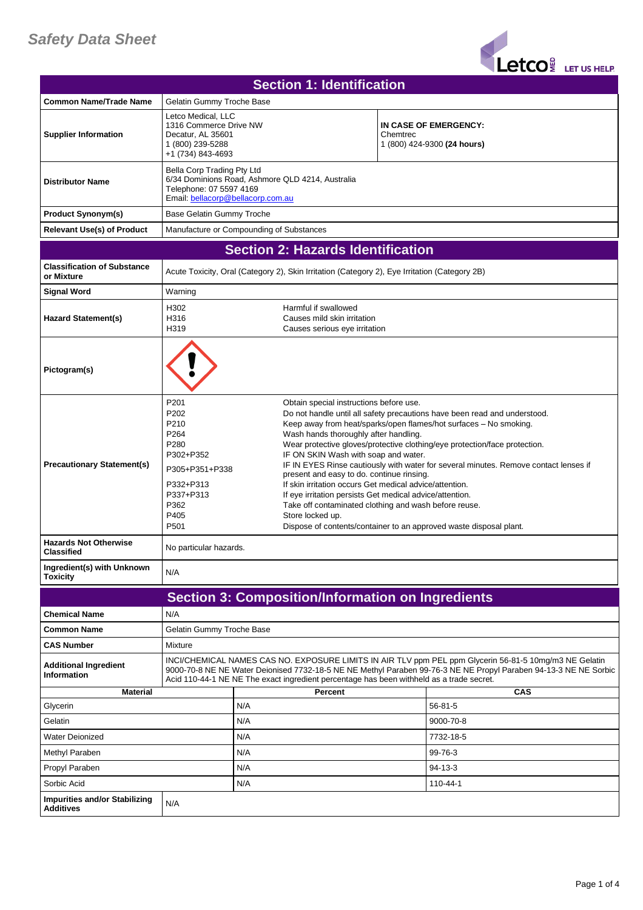## *Safety Data Sheet*

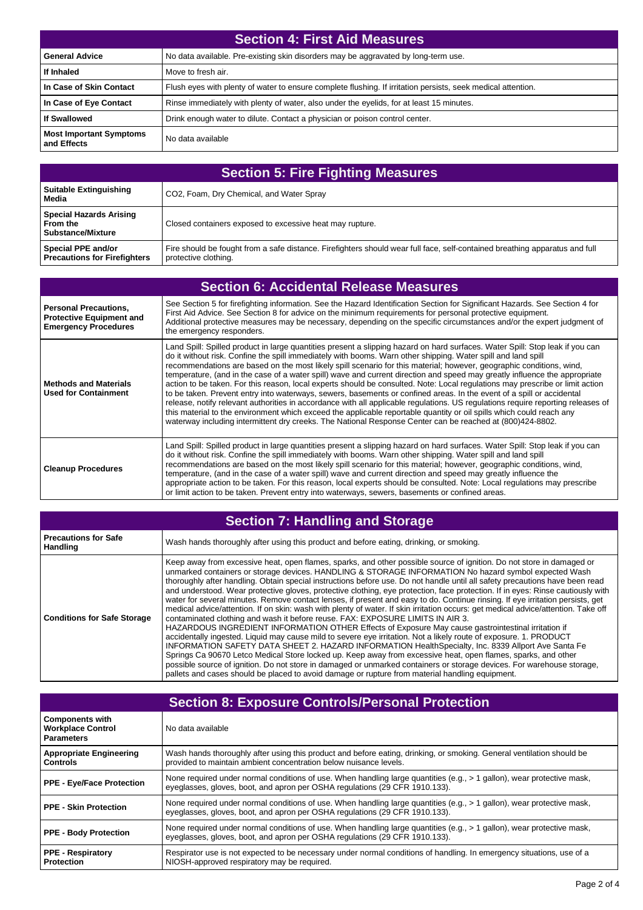| Section 4: First Aid Measures                 |                                                                                                              |
|-----------------------------------------------|--------------------------------------------------------------------------------------------------------------|
| <b>General Advice</b>                         | No data available. Pre-existing skin disorders may be aggravated by long-term use.                           |
| If Inhaled                                    | Move to fresh air.                                                                                           |
| In Case of Skin Contact                       | Flush eyes with plenty of water to ensure complete flushing. If irritation persists, seek medical attention. |
| In Case of Eye Contact                        | Rinse immediately with plenty of water, also under the eyelids, for at least 15 minutes.                     |
| <b>If Swallowed</b>                           | Drink enough water to dilute. Contact a physician or poison control center.                                  |
| <b>Most Important Symptoms</b><br>and Effects | No data available                                                                                            |

| <b>Section 5: Fire Fighting Measures</b>                               |                                                                                                                                                     |
|------------------------------------------------------------------------|-----------------------------------------------------------------------------------------------------------------------------------------------------|
| <b>Suitable Extinguishing</b><br>Media                                 | CO2, Foam, Dry Chemical, and Water Spray                                                                                                            |
| <b>Special Hazards Arising</b><br>From the<br><b>Substance/Mixture</b> | Closed containers exposed to excessive heat may rupture.                                                                                            |
| Special PPE and/or<br><b>Precautions for Firefighters</b>              | Fire should be fought from a safe distance. Firefighters should wear full face, self-contained breathing apparatus and full<br>protective clothing. |

| <b>Section 6: Accidental Release Measures</b>                                                  |                                                                                                                                                                                                                                                                                                                                                                                                                                                                                                                                                                                                                                                                                                                                                                                                                                                                                                                                                                                                                                                                                                                                         |
|------------------------------------------------------------------------------------------------|-----------------------------------------------------------------------------------------------------------------------------------------------------------------------------------------------------------------------------------------------------------------------------------------------------------------------------------------------------------------------------------------------------------------------------------------------------------------------------------------------------------------------------------------------------------------------------------------------------------------------------------------------------------------------------------------------------------------------------------------------------------------------------------------------------------------------------------------------------------------------------------------------------------------------------------------------------------------------------------------------------------------------------------------------------------------------------------------------------------------------------------------|
| <b>Personal Precautions,</b><br><b>Protective Equipment and</b><br><b>Emergency Procedures</b> | See Section 5 for firefighting information. See the Hazard Identification Section for Significant Hazards. See Section 4 for<br>First Aid Advice. See Section 8 for advice on the minimum requirements for personal protective equipment.<br>Additional protective measures may be necessary, depending on the specific circumstances and/or the expert judgment of<br>the emergency responders.                                                                                                                                                                                                                                                                                                                                                                                                                                                                                                                                                                                                                                                                                                                                        |
| <b>Methods and Materials</b><br><b>Used for Containment</b>                                    | Land Spill: Spilled product in large quantities present a slipping hazard on hard surfaces. Water Spill: Stop leak if you can<br>do it without risk. Confine the spill immediately with booms. Warn other shipping. Water spill and land spill<br>recommendations are based on the most likely spill scenario for this material; however, geographic conditions, wind,<br>temperature, (and in the case of a water spill) wave and current direction and speed may greatly influence the appropriate<br>action to be taken. For this reason, local experts should be consulted. Note: Local regulations may prescribe or limit action<br>to be taken. Prevent entry into waterways, sewers, basements or confined areas. In the event of a spill or accidental<br>release, notify relevant authorities in accordance with all applicable regulations. US regulations require reporting releases of<br>this material to the environment which exceed the applicable reportable quantity or oil spills which could reach any<br>waterway including intermittent dry creeks. The National Response Center can be reached at (800)424-8802. |
| <b>Cleanup Procedures</b>                                                                      | Land Spill: Spilled product in large quantities present a slipping hazard on hard surfaces. Water Spill: Stop leak if you can<br>do it without risk. Confine the spill immediately with booms. Warn other shipping. Water spill and land spill<br>recommendations are based on the most likely spill scenario for this material; however, geographic conditions, wind,<br>temperature, (and in the case of a water spill) wave and current direction and speed may greatly influence the<br>appropriate action to be taken. For this reason, local experts should be consulted. Note: Local regulations may prescribe<br>or limit action to be taken. Prevent entry into waterways, sewers, basements or confined areas.                                                                                                                                                                                                                                                                                                                                                                                                                |

## **Section 7: Handling and Storage**

| <b>Precautions for Safe</b><br><b>Handling</b> | Wash hands thoroughly after using this product and before eating, drinking, or smoking.                                                                                                                                                                                                                                                                                                                                                                                                                                                                                                                                                                                                                                                                                                                                                                                                                                                                                                                                                                                                                                                                                                                                                                                                                                                                                                                                                                                                                                                      |
|------------------------------------------------|----------------------------------------------------------------------------------------------------------------------------------------------------------------------------------------------------------------------------------------------------------------------------------------------------------------------------------------------------------------------------------------------------------------------------------------------------------------------------------------------------------------------------------------------------------------------------------------------------------------------------------------------------------------------------------------------------------------------------------------------------------------------------------------------------------------------------------------------------------------------------------------------------------------------------------------------------------------------------------------------------------------------------------------------------------------------------------------------------------------------------------------------------------------------------------------------------------------------------------------------------------------------------------------------------------------------------------------------------------------------------------------------------------------------------------------------------------------------------------------------------------------------------------------------|
| <b>Conditions for Safe Storage</b>             | Keep away from excessive heat, open flames, sparks, and other possible source of ignition. Do not store in damaged or<br>unmarked containers or storage devices. HANDLING & STORAGE INFORMATION No hazard symbol expected Wash<br>thoroughly after handling. Obtain special instructions before use. Do not handle until all safety precautions have been read<br>and understood. Wear protective gloves, protective clothing, eye protection, face protection. If in eyes: Rinse cautiously with<br>water for several minutes. Remove contact lenses, if present and easy to do. Continue rinsing. If eye irritation persists, get<br>medical advice/attention. If on skin: wash with plenty of water. If skin irritation occurs: get medical advice/attention. Take off<br>contaminated clothing and wash it before reuse. FAX: EXPOSURE LIMITS IN AIR 3.<br>HAZARDOUS INGREDIENT INFORMATION OTHER Effects of Exposure May cause gastrointestinal irritation if<br>accidentally ingested. Liquid may cause mild to severe eye irritation. Not a likely route of exposure. 1. PRODUCT<br>INFORMATION SAFETY DATA SHEET 2. HAZARD INFORMATION HealthSpecialty, Inc. 8339 Allport Ave Santa Fe<br>Springs Ca 90670 Letco Medical Store locked up. Keep away from excessive heat, open flames, sparks, and other<br>possible source of ignition. Do not store in damaged or unmarked containers or storage devices. For warehouse storage,<br>pallets and cases should be placed to avoid damage or rupture from material handling equipment. |

| <b>Section 8: Exposure Controls/Personal Protection</b>                 |                                                                                                                                                                                                       |
|-------------------------------------------------------------------------|-------------------------------------------------------------------------------------------------------------------------------------------------------------------------------------------------------|
| <b>Components with</b><br><b>Workplace Control</b><br><b>Parameters</b> | No data available                                                                                                                                                                                     |
| <b>Appropriate Engineering</b><br><b>Controls</b>                       | Wash hands thoroughly after using this product and before eating, drinking, or smoking. General ventilation should be<br>provided to maintain ambient concentration below nuisance levels.            |
| <b>PPE - Eye/Face Protection</b>                                        | None required under normal conditions of use. When handling large quantities (e.g., > 1 gallon), wear protective mask,<br>eyeglasses, gloves, boot, and apron per OSHA regulations (29 CFR 1910.133). |
| <b>PPE - Skin Protection</b>                                            | None required under normal conditions of use. When handling large quantities (e.g., > 1 gallon), wear protective mask,<br>eyeglasses, gloves, boot, and apron per OSHA regulations (29 CFR 1910.133). |
| <b>PPE - Body Protection</b>                                            | None required under normal conditions of use. When handling large quantities (e.g., > 1 gallon), wear protective mask,<br>eyeglasses, gloves, boot, and apron per OSHA regulations (29 CFR 1910.133). |
| <b>PPE - Respiratory</b><br><b>Protection</b>                           | Respirator use is not expected to be necessary under normal conditions of handling. In emergency situations, use of a<br>NIOSH-approved respiratory may be required.                                  |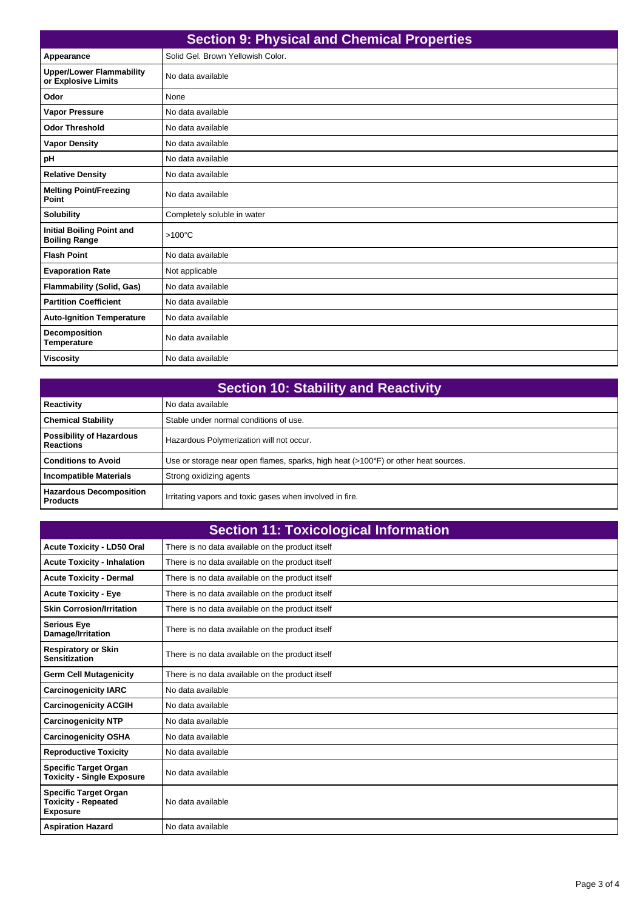| <b>Section 9: Physical and Chemical Properties</b>       |                                   |
|----------------------------------------------------------|-----------------------------------|
| Appearance                                               | Solid Gel, Brown Yellowish Color. |
| <b>Upper/Lower Flammability</b><br>or Explosive Limits   | No data available                 |
| Odor                                                     | None                              |
| <b>Vapor Pressure</b>                                    | No data available                 |
| <b>Odor Threshold</b>                                    | No data available                 |
| <b>Vapor Density</b>                                     | No data available                 |
| рH                                                       | No data available                 |
| <b>Relative Density</b>                                  | No data available                 |
| <b>Melting Point/Freezing</b><br>Point                   | No data available                 |
| <b>Solubility</b>                                        | Completely soluble in water       |
| <b>Initial Boiling Point and</b><br><b>Boiling Range</b> | $>100^{\circ}$ C                  |
| <b>Flash Point</b>                                       | No data available                 |
| <b>Evaporation Rate</b>                                  | Not applicable                    |
| <b>Flammability (Solid, Gas)</b>                         | No data available                 |
| <b>Partition Coefficient</b>                             | No data available                 |
| <b>Auto-Ignition Temperature</b>                         | No data available                 |
| Decomposition<br><b>Temperature</b>                      | No data available                 |
| <b>Viscosity</b>                                         | No data available                 |

| <b>Section 10: Stability and Reactivity</b>         |                                                                                    |
|-----------------------------------------------------|------------------------------------------------------------------------------------|
| Reactivity                                          | No data available                                                                  |
| <b>Chemical Stability</b>                           | Stable under normal conditions of use.                                             |
| <b>Possibility of Hazardous</b><br><b>Reactions</b> | Hazardous Polymerization will not occur.                                           |
| <b>Conditions to Avoid</b>                          | Use or storage near open flames, sparks, high heat (>100°F) or other heat sources. |
| <b>Incompatible Materials</b>                       | Strong oxidizing agents                                                            |
| <b>Hazardous Decomposition</b><br><b>Products</b>   | Irritating vapors and toxic gases when involved in fire.                           |

| <b>Section 11: Toxicological Information</b>                                  |                                                  |
|-------------------------------------------------------------------------------|--------------------------------------------------|
| <b>Acute Toxicity - LD50 Oral</b>                                             | There is no data available on the product itself |
| <b>Acute Toxicity - Inhalation</b>                                            | There is no data available on the product itself |
| <b>Acute Toxicity - Dermal</b>                                                | There is no data available on the product itself |
| <b>Acute Toxicity - Eye</b>                                                   | There is no data available on the product itself |
| <b>Skin Corrosion/Irritation</b>                                              | There is no data available on the product itself |
| <b>Serious Eye</b><br>Damage/Irritation                                       | There is no data available on the product itself |
| <b>Respiratory or Skin</b><br><b>Sensitization</b>                            | There is no data available on the product itself |
| <b>Germ Cell Mutagenicity</b>                                                 | There is no data available on the product itself |
| <b>Carcinogenicity IARC</b>                                                   | No data available                                |
| <b>Carcinogenicity ACGIH</b>                                                  | No data available                                |
| <b>Carcinogenicity NTP</b>                                                    | No data available                                |
| <b>Carcinogenicity OSHA</b>                                                   | No data available                                |
| <b>Reproductive Toxicity</b>                                                  | No data available                                |
| <b>Specific Target Organ</b><br><b>Toxicity - Single Exposure</b>             | No data available                                |
| <b>Specific Target Organ</b><br><b>Toxicity - Repeated</b><br><b>Exposure</b> | No data available                                |
| <b>Aspiration Hazard</b>                                                      | No data available                                |